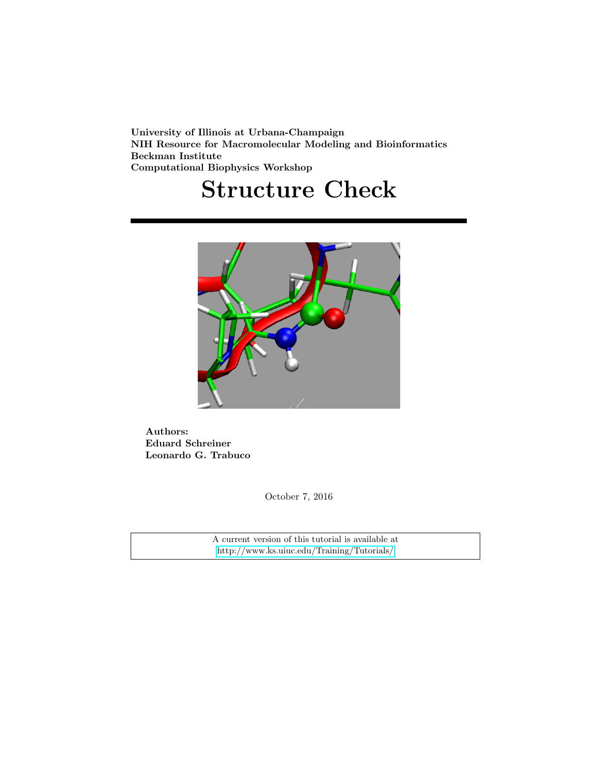University of Illinois at Urbana-Champaign NIH Resource for Macromolecular Modeling and Bioinformatics Beckman Institute Computational Biophysics Workshop

# Structure Check



Authors: Eduard Schreiner Leonardo G. Trabuco

October 7, 2016

A current version of this tutorial is available at <http://www.ks.uiuc.edu/Training/Tutorials/>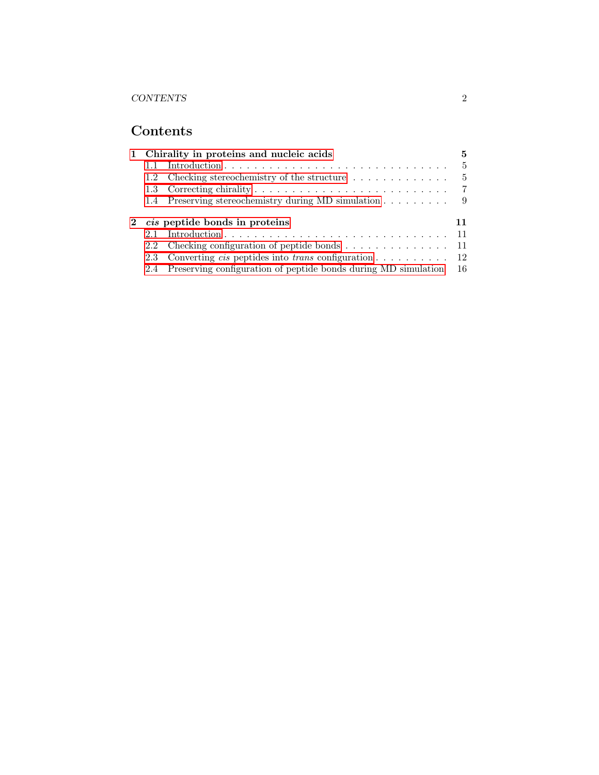## Contents

|     |                                                                     | 5                                                                                                                                                                                                                                                                                                                                                                            |
|-----|---------------------------------------------------------------------|------------------------------------------------------------------------------------------------------------------------------------------------------------------------------------------------------------------------------------------------------------------------------------------------------------------------------------------------------------------------------|
|     |                                                                     | $\frac{5}{2}$                                                                                                                                                                                                                                                                                                                                                                |
| 1.2 | Checking stereochemistry of the structure $\dots \dots \dots \dots$ | $\frac{5}{2}$                                                                                                                                                                                                                                                                                                                                                                |
|     |                                                                     | -7                                                                                                                                                                                                                                                                                                                                                                           |
|     |                                                                     | -9                                                                                                                                                                                                                                                                                                                                                                           |
| 2.1 |                                                                     | 11                                                                                                                                                                                                                                                                                                                                                                           |
|     |                                                                     | 1 Chirality in proteins and nucleic acids<br>1.4 Preserving stereochemistry during MD simulation<br><i>cis</i> peptide bonds in proteins<br>2.2 Checking configuration of peptide bonds 11<br>2.3 Converting <i>cis</i> peptides into <i>trans</i> configuration $\dots \dots \dots \dots \dots$ 12<br>2.4 Preserving configuration of peptide bonds during MD simulation 16 |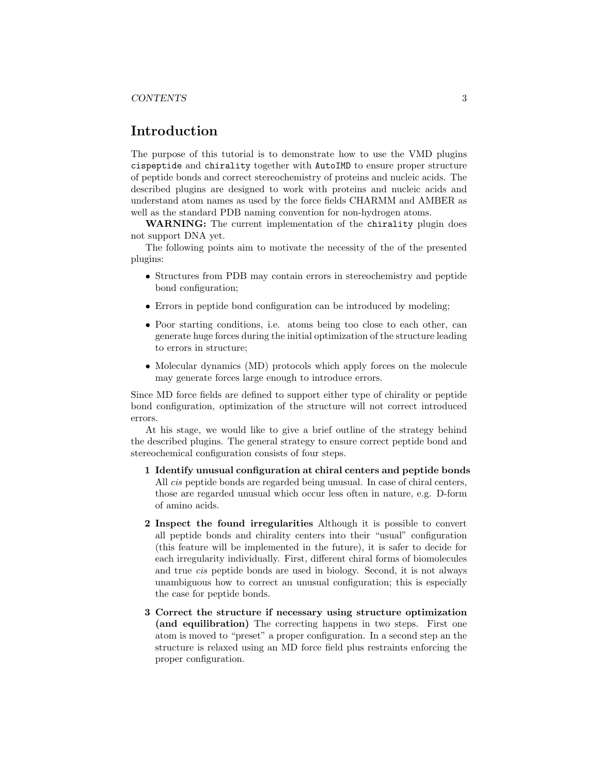## Introduction

The purpose of this tutorial is to demonstrate how to use the VMD plugins cispeptide and chirality together with AutoIMD to ensure proper structure of peptide bonds and correct stereochemistry of proteins and nucleic acids. The described plugins are designed to work with proteins and nucleic acids and understand atom names as used by the force fields CHARMM and AMBER as well as the standard PDB naming convention for non-hydrogen atoms.

WARNING: The current implementation of the chirality plugin does not support DNA yet.

The following points aim to motivate the necessity of the of the presented plugins:

- Structures from PDB may contain errors in stereochemistry and peptide bond configuration;
- Errors in peptide bond configuration can be introduced by modeling;
- Poor starting conditions, i.e. atoms being too close to each other, can generate huge forces during the initial optimization of the structure leading to errors in structure;
- Molecular dynamics (MD) protocols which apply forces on the molecule may generate forces large enough to introduce errors.

Since MD force fields are defined to support either type of chirality or peptide bond configuration, optimization of the structure will not correct introduced errors.

At his stage, we would like to give a brief outline of the strategy behind the described plugins. The general strategy to ensure correct peptide bond and stereochemical configuration consists of four steps.

- 1 Identify unusual configuration at chiral centers and peptide bonds All cis peptide bonds are regarded being unusual. In case of chiral centers, those are regarded unusual which occur less often in nature, e.g. D-form of amino acids.
- 2 Inspect the found irregularities Although it is possible to convert all peptide bonds and chirality centers into their "usual" configuration (this feature will be implemented in the future), it is safer to decide for each irregularity individually. First, different chiral forms of biomolecules and true cis peptide bonds are used in biology. Second, it is not always unambiguous how to correct an unusual configuration; this is especially the case for peptide bonds.
- 3 Correct the structure if necessary using structure optimization (and equilibration) The correcting happens in two steps. First one atom is moved to "preset" a proper configuration. In a second step an the structure is relaxed using an MD force field plus restraints enforcing the proper configuration.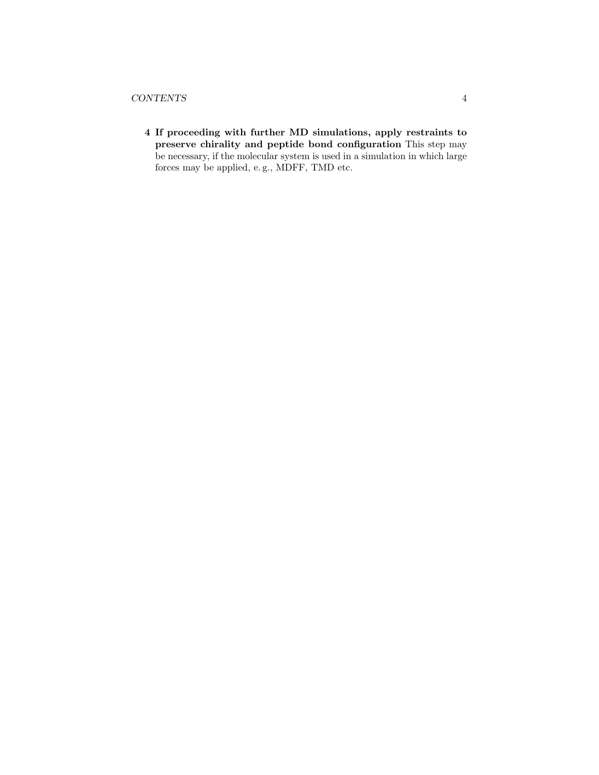4 If proceeding with further MD simulations, apply restraints to preserve chirality and peptide bond configuration This step may be necessary, if the molecular system is used in a simulation in which large forces may be applied, e. g., MDFF, TMD etc.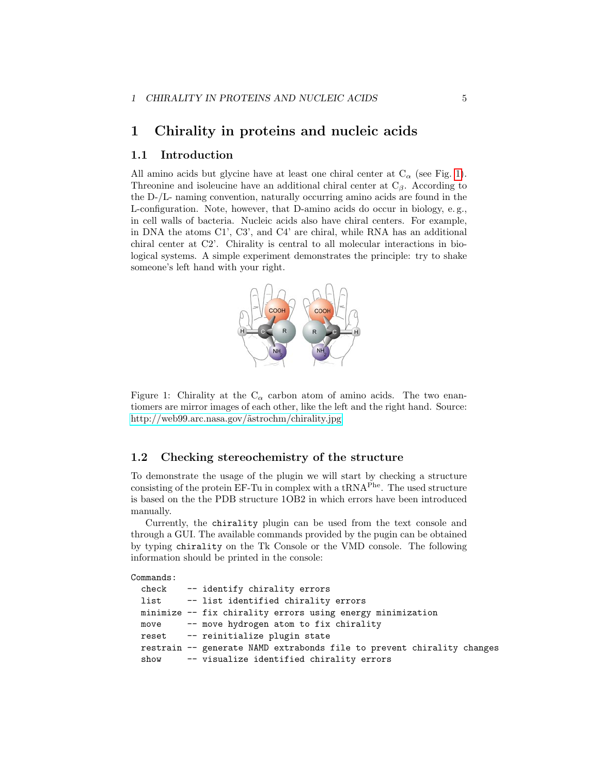## <span id="page-4-0"></span>1 Chirality in proteins and nucleic acids

#### <span id="page-4-1"></span>1.1 Introduction

All amino acids but glycine have at least one chiral center at  $C_{\alpha}$  (see Fig. [1\)](#page-4-3). Threonine and isoleucine have an additional chiral center at  $C_\beta$ . According to the D-/L- naming convention, naturally occurring amino acids are found in the L-configuration. Note, however, that D-amino acids do occur in biology, e. g., in cell walls of bacteria. Nucleic acids also have chiral centers. For example, in DNA the atoms C1', C3', and C4' are chiral, while RNA has an additional chiral center at C2'. Chirality is central to all molecular interactions in biological systems. A simple experiment demonstrates the principle: try to shake someone's left hand with your right.



<span id="page-4-3"></span>Figure 1: Chirality at the  $C_{\alpha}$  carbon atom of amino acids. The two enantiomers are mirror images of each other, like the left and the right hand. Source: http://web99.arc.nasa.gov/ $\tilde{a}$ strochm/chirality.jpg

#### <span id="page-4-2"></span>1.2 Checking stereochemistry of the structure

To demonstrate the usage of the plugin we will start by checking a structure consisting of the protein EF-Tu in complex with a  $tRNA<sup>Phe</sup>$ . The used structure is based on the the PDB structure 1OB2 in which errors have been introduced manually.

Currently, the chirality plugin can be used from the text console and through a GUI. The available commands provided by the pugin can be obtained by typing chirality on the Tk Console or the VMD console. The following information should be printed in the console:

Commands:

|  | check -- identify chirality errors                                     |
|--|------------------------------------------------------------------------|
|  | list -- list identified chirality errors                               |
|  | minimize -- fix chirality errors using energy minimization             |
|  | move -- move hydrogen atom to fix chirality                            |
|  | reset -- reinitialize plugin state                                     |
|  | restrain -- generate NAMD extrabonds file to prevent chirality changes |
|  | show $-$ - visualize identified chirality errors                       |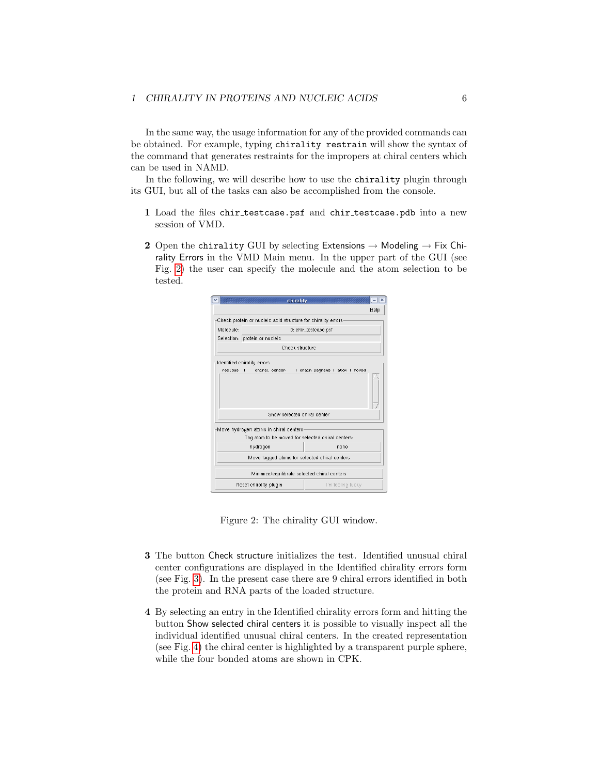In the same way, the usage information for any of the provided commands can be obtained. For example, typing chirality restrain will show the syntax of the command that generates restraints for the impropers at chiral centers which can be used in NAMD.

In the following, we will describe how to use the chirality plugin through its GUI, but all of the tasks can also be accomplished from the console.

- 1 Load the files chir testcase.psf and chir testcase.pdb into a new session of VMD.
- 2 Open the chirality GUI by selecting Extensions  $\rightarrow$  Modeling  $\rightarrow$  Fix Chirality Errors in the VMD Main menu. In the upper part of the GUI (see Fig. [2\)](#page-5-0) the user can specify the molecule and the atom selection to be tested.



<span id="page-5-0"></span>Figure 2: The chirality GUI window.

- 3 The button Check structure initializes the test. Identified unusual chiral center configurations are displayed in the Identified chirality errors form (see Fig. [3\)](#page-6-1). In the present case there are 9 chiral errors identified in both the protein and RNA parts of the loaded structure.
- 4 By selecting an entry in the Identified chirality errors form and hitting the button Show selected chiral centers it is possible to visually inspect all the individual identified unusual chiral centers. In the created representation (see Fig. [4\)](#page-6-2) the chiral center is highlighted by a transparent purple sphere, while the four bonded atoms are shown in CPK.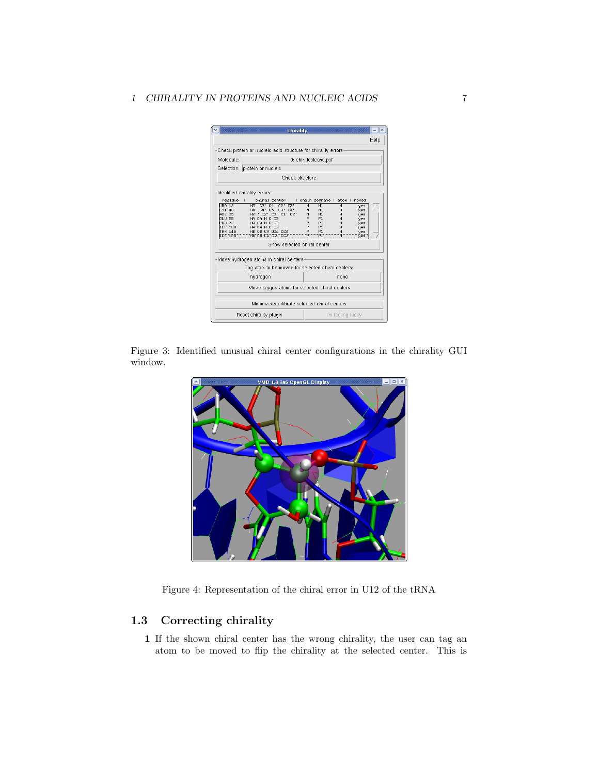|                                                   | chirality                                                    |                     |                      |                   |              | $=$ $\mathbb{I}$ $\times$ |  |
|---------------------------------------------------|--------------------------------------------------------------|---------------------|----------------------|-------------------|--------------|---------------------------|--|
|                                                   |                                                              |                     |                      |                   |              | Help                      |  |
|                                                   | Check protein or nucleic acid structure for chirality errors |                     |                      |                   |              |                           |  |
| Molecule:                                         |                                                              |                     | 0: chir testcase.psf |                   |              |                           |  |
|                                                   | Selection: protein or nucleic                                |                     |                      |                   |              |                           |  |
|                                                   | Check structure                                              |                     |                      |                   |              |                           |  |
|                                                   | Identified chirality errors                                  |                     |                      |                   |              |                           |  |
| residue                                           | т<br>chiral center                                           |                     | I chain segname I    |                   | atom   moved |                           |  |
| URA 12<br>CYT 48                                  | H3' C3' C4' C2' 03'<br>H4' C4' C5' C3' 04'                   | $\overline{N}$<br>N | N1<br>N1             | н                 | <b>Hes</b>   |                           |  |
| ADE 35<br>CL:                                     | H2" C2" C3" C1" 02"                                          | N                   | N1                   | н<br>н            | yes<br>yes   |                           |  |
| GLU 55                                            | HA CA N C CB                                                 | P.                  | P <sub>1</sub>       | H                 | <b>Mes</b>   |                           |  |
| PRO 72                                            | HA CA N C CB                                                 | P                   | P <sub>1</sub>       | H                 | <b>Hes</b>   |                           |  |
| <b>ILE 188</b>                                    | HA CA N C CB                                                 | P                   | P <sub>1</sub>       | н                 | yes          |                           |  |
| THR 115                                           | HB CB CA OG1 CG2                                             | P                   | P <sub>1</sub>       | н                 | yes          |                           |  |
| 788                                               | HB CB CA CG1 CG2                                             |                     |                      |                   | yes          |                           |  |
|                                                   | Show selected chiral center                                  |                     |                      |                   |              |                           |  |
|                                                   | Move hydrogen atoms in chiral centers                        |                     |                      |                   |              |                           |  |
| Tag atom to be moved for selected chiral centers: |                                                              |                     |                      |                   |              |                           |  |
| hydrogen<br>none                                  |                                                              |                     |                      |                   |              |                           |  |
| Move tagged atoms for selected chiral centers     |                                                              |                     |                      |                   |              |                           |  |
| Minimize/equilibrate selected chiral centers      |                                                              |                     |                      |                   |              |                           |  |
|                                                   | Reset chirality plugin                                       |                     |                      | I'm feeling lucky |              |                           |  |

Figure 3: Identified unusual chiral center configurations in the chirality GUI window.

<span id="page-6-1"></span>

<span id="page-6-2"></span>Figure 4: Representation of the chiral error in U12 of the tRNA

## <span id="page-6-0"></span>1.3 Correcting chirality

1 If the shown chiral center has the wrong chirality, the user can tag an atom to be moved to flip the chirality at the selected center. This is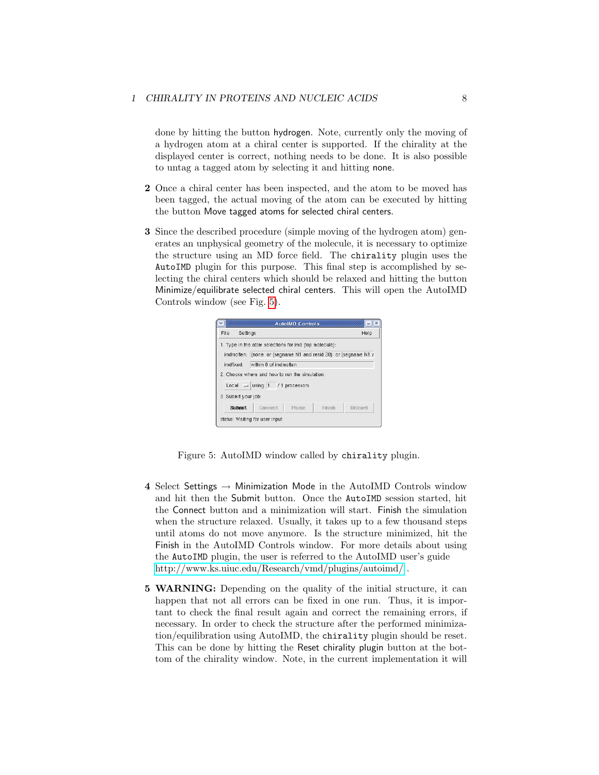done by hitting the button hydrogen. Note, currently only the moving of a hydrogen atom at a chiral center is supported. If the chirality at the displayed center is correct, nothing needs to be done. It is also possible to untag a tagged atom by selecting it and hitting none.

- 2 Once a chiral center has been inspected, and the atom to be moved has been tagged, the actual moving of the atom can be executed by hitting the button Move tagged atoms for selected chiral centers.
- 3 Since the described procedure (simple moving of the hydrogen atom) generates an unphysical geometry of the molecule, it is necessary to optimize the structure using an MD force field. The chirality plugin uses the AutoIMD plugin for this purpose. This final step is accomplished by selecting the chiral centers which should be relaxed and hitting the button Minimize/equilibrate selected chiral centers. This will open the AutoIMD Controls window (see Fig. [5\)](#page-7-0).

|                                                                |         | <b>AutoIMD Controls</b> |        | $\boldsymbol{\mathsf{x}}$ |  |  |
|----------------------------------------------------------------|---------|-------------------------|--------|---------------------------|--|--|
| File -<br>Settings<br>Help                                     |         |                         |        |                           |  |  |
| 1. Type in the atom selections for imd (top molecule):         |         |                         |        |                           |  |  |
| imdmolten: (none or (segname N1 and resid 30) or (segname N1 a |         |                         |        |                           |  |  |
| within 8 of imdmolten<br>imdfixed:                             |         |                         |        |                           |  |  |
| 2. Choose where and how to run the simulation:                 |         |                         |        |                           |  |  |
| Local $=$ using 1 / 1 processors                               |         |                         |        |                           |  |  |
| 3. Submit your job:                                            |         |                         |        |                           |  |  |
| Submit                                                         | Connect | Pause                   | Finish | Discard                   |  |  |
| status: Waiting for user input                                 |         |                         |        |                           |  |  |

<span id="page-7-0"></span>Figure 5: AutoIMD window called by chirality plugin.

- 4 Select Settings  $\rightarrow$  Minimization Mode in the AutoIMD Controls window and hit then the Submit button. Once the AutoIMD session started, hit the Connect button and a minimization will start. Finish the simulation when the structure relaxed. Usually, it takes up to a few thousand steps until atoms do not move anymore. Is the structure minimized, hit the Finish in the AutoIMD Controls window. For more details about using the AutoIMD plugin, the user is referred to the AutoIMD user's guide <http://www.ks.uiuc.edu/Research/vmd/plugins/autoimd/> .
- 5 WARNING: Depending on the quality of the initial structure, it can happen that not all errors can be fixed in one run. Thus, it is important to check the final result again and correct the remaining errors, if necessary. In order to check the structure after the performed minimization/equilibration using AutoIMD, the chirality plugin should be reset. This can be done by hitting the Reset chirality plugin button at the bottom of the chirality window. Note, in the current implementation it will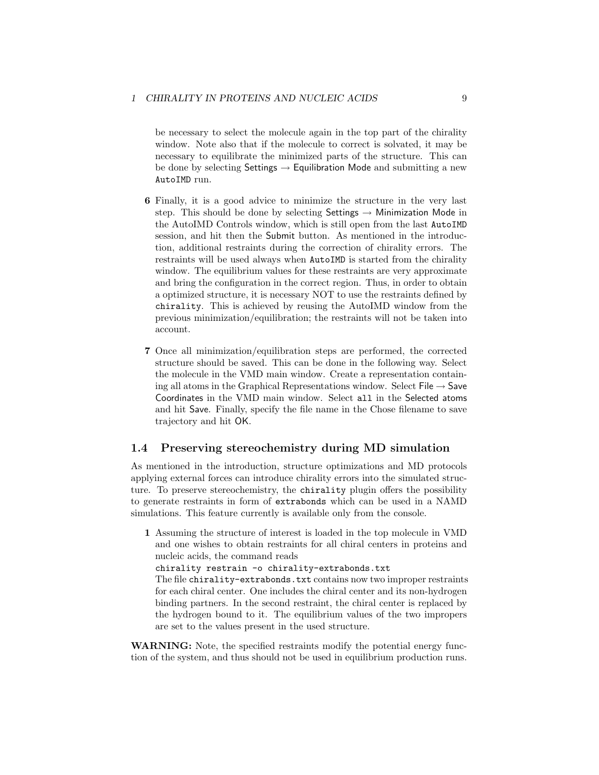be necessary to select the molecule again in the top part of the chirality window. Note also that if the molecule to correct is solvated, it may be necessary to equilibrate the minimized parts of the structure. This can be done by selecting Settings  $\rightarrow$  Equilibration Mode and submitting a new AutoIMD run.

- 6 Finally, it is a good advice to minimize the structure in the very last step. This should be done by selecting Settings  $\rightarrow$  Minimization Mode in the AutoIMD Controls window, which is still open from the last AutoIMD session, and hit then the Submit button. As mentioned in the introduction, additional restraints during the correction of chirality errors. The restraints will be used always when AutoIMD is started from the chirality window. The equilibrium values for these restraints are very approximate and bring the configuration in the correct region. Thus, in order to obtain a optimized structure, it is necessary NOT to use the restraints defined by chirality. This is achieved by reusing the AutoIMD window from the previous minimization/equilibration; the restraints will not be taken into account.
- 7 Once all minimization/equilibration steps are performed, the corrected structure should be saved. This can be done in the following way. Select the molecule in the VMD main window. Create a representation containing all atoms in the Graphical Representations window. Select File  $\rightarrow$  Save Coordinates in the VMD main window. Select all in the Selected atoms and hit Save. Finally, specify the file name in the Chose filename to save trajectory and hit OK.

#### <span id="page-8-0"></span>1.4 Preserving stereochemistry during MD simulation

As mentioned in the introduction, structure optimizations and MD protocols applying external forces can introduce chirality errors into the simulated structure. To preserve stereochemistry, the chirality plugin offers the possibility to generate restraints in form of extrabonds which can be used in a NAMD simulations. This feature currently is available only from the console.

1 Assuming the structure of interest is loaded in the top molecule in VMD and one wishes to obtain restraints for all chiral centers in proteins and nucleic acids, the command reads

chirality restrain -o chirality-extrabonds.txt

The file chirality-extrabonds.txt contains now two improper restraints for each chiral center. One includes the chiral center and its non-hydrogen binding partners. In the second restraint, the chiral center is replaced by the hydrogen bound to it. The equilibrium values of the two impropers are set to the values present in the used structure.

WARNING: Note, the specified restraints modify the potential energy function of the system, and thus should not be used in equilibrium production runs.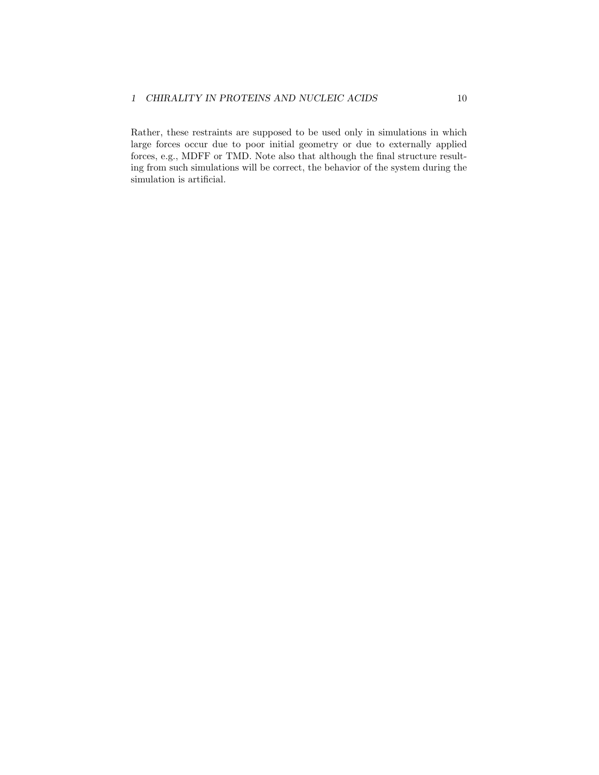#### 1 CHIRALITY IN PROTEINS AND NUCLEIC ACIDS 10

Rather, these restraints are supposed to be used only in simulations in which large forces occur due to poor initial geometry or due to externally applied forces, e.g., MDFF or TMD. Note also that although the final structure resulting from such simulations will be correct, the behavior of the system during the simulation is artificial.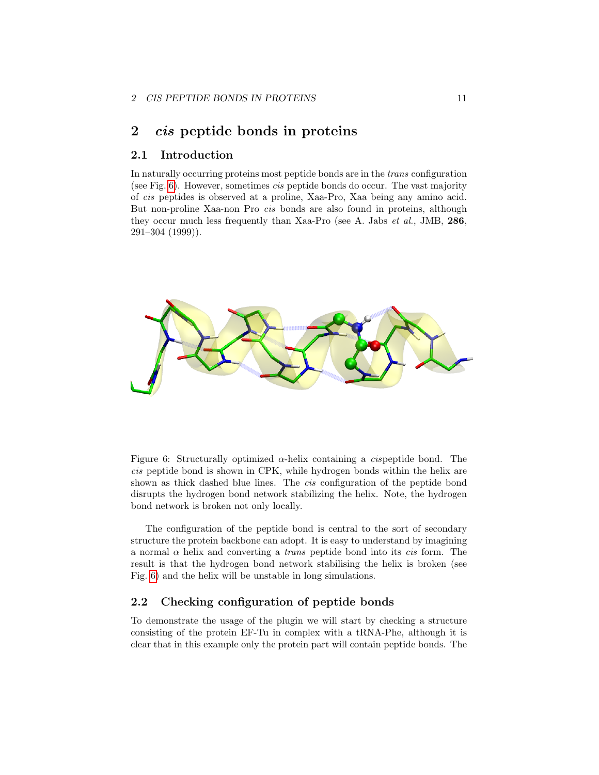## <span id="page-10-0"></span>2 cis peptide bonds in proteins

#### <span id="page-10-1"></span>2.1 Introduction

In naturally occurring proteins most peptide bonds are in the trans configuration (see Fig. [6\)](#page-10-3). However, sometimes cis peptide bonds do occur. The vast majority of cis peptides is observed at a proline, Xaa-Pro, Xaa being any amino acid. But non-proline Xaa-non Pro cis bonds are also found in proteins, although they occur much less frequently than Xaa-Pro (see A. Jabs et al., JMB, 286, 291–304 (1999)).



<span id="page-10-3"></span>Figure 6: Structurally optimized  $\alpha$ -helix containing a *cispeptide* bond. The cis peptide bond is shown in CPK, while hydrogen bonds within the helix are shown as thick dashed blue lines. The *cis* configuration of the peptide bond disrupts the hydrogen bond network stabilizing the helix. Note, the hydrogen bond network is broken not only locally.

The configuration of the peptide bond is central to the sort of secondary structure the protein backbone can adopt. It is easy to understand by imagining a normal  $\alpha$  helix and converting a *trans* peptide bond into its *cis* form. The result is that the hydrogen bond network stabilising the helix is broken (see Fig. [6\)](#page-10-3) and the helix will be unstable in long simulations.

## <span id="page-10-2"></span>2.2 Checking configuration of peptide bonds

To demonstrate the usage of the plugin we will start by checking a structure consisting of the protein EF-Tu in complex with a tRNA-Phe, although it is clear that in this example only the protein part will contain peptide bonds. The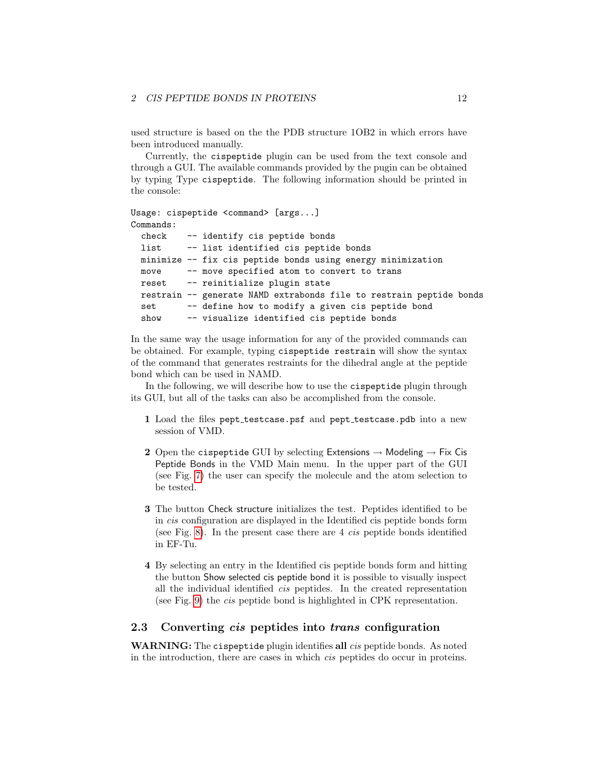used structure is based on the the PDB structure 1OB2 in which errors have been introduced manually.

Currently, the cispeptide plugin can be used from the text console and through a GUI. The available commands provided by the pugin can be obtained by typing Type cispeptide. The following information should be printed in the console:

```
Usage: cispeptide <command> [args...]
Commands:
  check -- identify cis peptide bonds
 list -- list identified cis peptide bonds
 minimize -- fix cis peptide bonds using energy minimization
 move -- move specified atom to convert to trans
 reset -- reinitialize plugin state
 restrain -- generate NAMD extrabonds file to restrain peptide bonds
 set -- define how to modify a given cis peptide bond
  show -- visualize identified cis peptide bonds
```
In the same way the usage information for any of the provided commands can be obtained. For example, typing cispeptide restrain will show the syntax of the command that generates restraints for the dihedral angle at the peptide bond which can be used in NAMD.

In the following, we will describe how to use the cispeptide plugin through its GUI, but all of the tasks can also be accomplished from the console.

- 1 Load the files pept\_testcase.psf and pept\_testcase.pdb into a new session of VMD.
- 2 Open the cispeptide GUI by selecting Extensions  $\rightarrow$  Modeling  $\rightarrow$  Fix Cis Peptide Bonds in the VMD Main menu. In the upper part of the GUI (see Fig. [7\)](#page-12-0) the user can specify the molecule and the atom selection to be tested.
- 3 The button Check structure initializes the test. Peptides identified to be in cis configuration are displayed in the Identified cis peptide bonds form (see Fig. [8\)](#page-12-1). In the present case there are 4 cis peptide bonds identified in EF-Tu.
- 4 By selecting an entry in the Identified cis peptide bonds form and hitting the button Show selected cis peptide bond it is possible to visually inspect all the individual identified cis peptides. In the created representation (see Fig. [9\)](#page-13-0) the cis peptide bond is highlighted in CPK representation.

#### <span id="page-11-0"></span>2.3 Converting cis peptides into trans configuration

WARNING: The cispeptide plugin identifies all *cis* peptide bonds. As noted in the introduction, there are cases in which cis peptides do occur in proteins.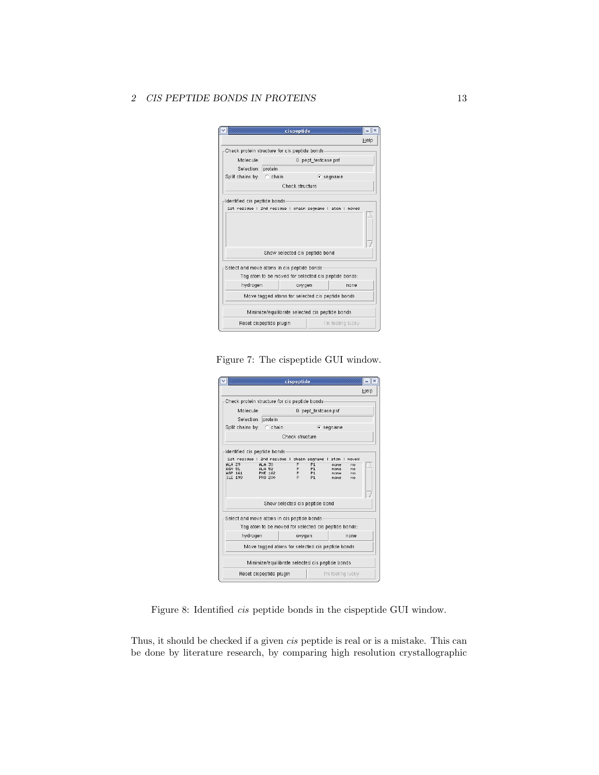#### 2 CIS PEPTIDE BONDS IN PROTEINS 13

|                                                                                          | cispeptide                                           | $\boldsymbol{\chi}$ |  |  |  |  |  |
|------------------------------------------------------------------------------------------|------------------------------------------------------|---------------------|--|--|--|--|--|
|                                                                                          |                                                      | Help                |  |  |  |  |  |
| Check protein structure for cis peptide bonds-                                           |                                                      |                     |  |  |  |  |  |
| Molecule:                                                                                | 0: pept_testcase.psf                                 |                     |  |  |  |  |  |
| Selection: protein                                                                       |                                                      |                     |  |  |  |  |  |
| Split chains by: C chain                                                                 |                                                      | $\bullet$ segname   |  |  |  |  |  |
|                                                                                          | Check structure                                      |                     |  |  |  |  |  |
| Identified cis peptide bonds<br>1st residue   2nd residue   chain segname   atom   moved |                                                      |                     |  |  |  |  |  |
| Show selected cis peptide bond<br>Select and move atoms in cis peptide bonds             |                                                      |                     |  |  |  |  |  |
|                                                                                          | Tag atom to be moved for selected cis peptide bonds: |                     |  |  |  |  |  |
| hydrogen                                                                                 | oxygen                                               | nnne                |  |  |  |  |  |
| Move tagged atoms for selected cis peptide bonds                                         |                                                      |                     |  |  |  |  |  |
| Minimize/equilibrate selected cis peptide bonds                                          |                                                      |                     |  |  |  |  |  |
|                                                                                          | Reset cispeptide plugin<br>I'm feeling lucky         |                     |  |  |  |  |  |

<span id="page-12-0"></span>Figure 7: The cispeptide GUI window.

|                                                          |                                          | cispeptide       |                                                          |                               |                      | $\boldsymbol{\times}$ |  |
|----------------------------------------------------------|------------------------------------------|------------------|----------------------------------------------------------|-------------------------------|----------------------|-----------------------|--|
|                                                          |                                          |                  |                                                          |                               |                      | Help                  |  |
| Check protein structure for cis peptide bonds            |                                          |                  |                                                          |                               |                      |                       |  |
| Molecule:                                                |                                          |                  | 0: pept_testcase.psf                                     |                               |                      |                       |  |
| Selection: protein                                       |                                          |                  |                                                          |                               |                      |                       |  |
| Split chains by: C chain                                 |                                          |                  |                                                          | $\epsilon$ segname            |                      |                       |  |
|                                                          |                                          | Check structure  |                                                          |                               |                      |                       |  |
| Identified cis peptide bonds                             |                                          |                  |                                                          |                               |                      |                       |  |
| 1st residue   2nd residue   chain segname   atom   moved |                                          |                  |                                                          |                               |                      |                       |  |
| <b>ALA 29</b><br>ASN 51<br>ASP 161<br><b>ILE 199</b>     | $ALA$ 30<br>ALA 52<br>PHE 162<br>PR0 200 | P<br>P<br>P<br>P | P <sub>1</sub><br>P <sub>1</sub><br>P1<br>P <sub>1</sub> | none<br>none<br>none.<br>none | no<br>no<br>no<br>no |                       |  |
| Show selected cis peptide bond                           |                                          |                  |                                                          |                               |                      |                       |  |
| Select and move atoms in cis peptide bonds               |                                          |                  |                                                          |                               |                      |                       |  |
| Tag atom to be moved for selected cis peptide bonds:     |                                          |                  |                                                          |                               |                      |                       |  |
| hydrogen                                                 |                                          | oxygen           |                                                          | nnne                          |                      |                       |  |
| Move tagged atoms for selected cis peptide bonds         |                                          |                  |                                                          |                               |                      |                       |  |
| Minimize/equilibrate selected cis peptide bonds          |                                          |                  |                                                          |                               |                      |                       |  |
|                                                          | Reset cispeptide plugin                  |                  |                                                          | I'm feeling lucky             |                      |                       |  |

<span id="page-12-1"></span>Figure 8: Identified cis peptide bonds in the cispeptide GUI window.

Thus, it should be checked if a given cis peptide is real or is a mistake. This can be done by literature research, by comparing high resolution crystallographic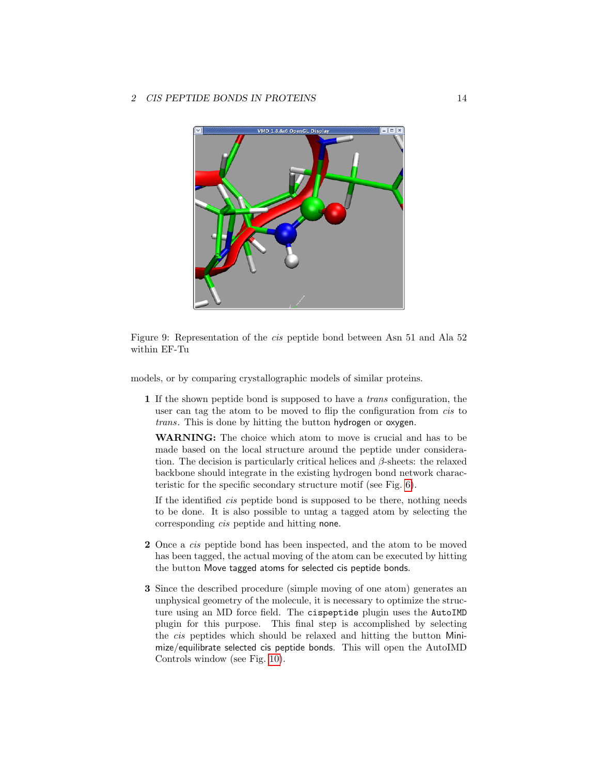

Figure 9: Representation of the cis peptide bond between Asn 51 and Ala 52 within EF-Tu

<span id="page-13-0"></span>models, or by comparing crystallographic models of similar proteins.

1 If the shown peptide bond is supposed to have a trans configuration, the user can tag the atom to be moved to flip the configuration from *cis* to trans. This is done by hitting the button hydrogen or oxygen.

WARNING: The choice which atom to move is crucial and has to be made based on the local structure around the peptide under consideration. The decision is particularly critical helices and  $\beta$ -sheets: the relaxed backbone should integrate in the existing hydrogen bond network characteristic for the specific secondary structure motif (see Fig. [6\)](#page-10-3).

If the identified cis peptide bond is supposed to be there, nothing needs to be done. It is also possible to untag a tagged atom by selecting the corresponding cis peptide and hitting none.

- 2 Once a cis peptide bond has been inspected, and the atom to be moved has been tagged, the actual moving of the atom can be executed by hitting the button Move tagged atoms for selected cis peptide bonds.
- 3 Since the described procedure (simple moving of one atom) generates an unphysical geometry of the molecule, it is necessary to optimize the structure using an MD force field. The cispeptide plugin uses the AutoIMD plugin for this purpose. This final step is accomplished by selecting the cis peptides which should be relaxed and hitting the button Minimize/equilibrate selected cis peptide bonds. This will open the AutoIMD Controls window (see Fig. [10\)](#page-14-0).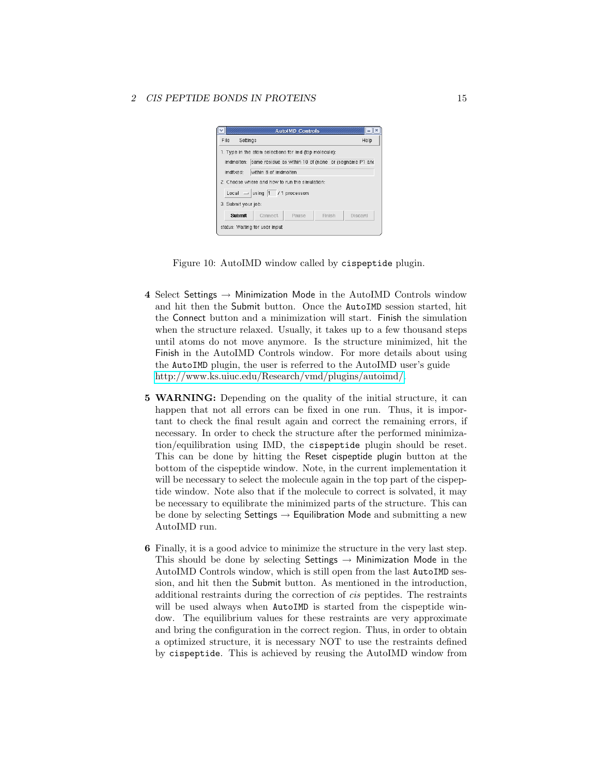

Figure 10: AutoIMD window called by cispeptide plugin.

- <span id="page-14-0"></span>4 Select Settings  $\rightarrow$  Minimization Mode in the AutoIMD Controls window and hit then the Submit button. Once the AutoIMD session started, hit the Connect button and a minimization will start. Finish the simulation when the structure relaxed. Usually, it takes up to a few thousand steps until atoms do not move anymore. Is the structure minimized, hit the Finish in the AutoIMD Controls window. For more details about using the AutoIMD plugin, the user is referred to the AutoIMD user's guide [http://www.ks.uiuc.edu/Research/vmd/plugins/autoimd/.](http://www.ks.uiuc.edu/Research/vmd/plugins/autoimd/)
- 5 WARNING: Depending on the quality of the initial structure, it can happen that not all errors can be fixed in one run. Thus, it is important to check the final result again and correct the remaining errors, if necessary. In order to check the structure after the performed minimization/equilibration using IMD, the cispeptide plugin should be reset. This can be done by hitting the Reset cispeptide plugin button at the bottom of the cispeptide window. Note, in the current implementation it will be necessary to select the molecule again in the top part of the cispeptide window. Note also that if the molecule to correct is solvated, it may be necessary to equilibrate the minimized parts of the structure. This can be done by selecting Settings  $\rightarrow$  Equilibration Mode and submitting a new AutoIMD run.
- 6 Finally, it is a good advice to minimize the structure in the very last step. This should be done by selecting Settings  $\rightarrow$  Minimization Mode in the AutoIMD Controls window, which is still open from the last AutoIMD session, and hit then the Submit button. As mentioned in the introduction, additional restraints during the correction of cis peptides. The restraints will be used always when AutoIMD is started from the cispeptide window. The equilibrium values for these restraints are very approximate and bring the configuration in the correct region. Thus, in order to obtain a optimized structure, it is necessary NOT to use the restraints defined by cispeptide. This is achieved by reusing the AutoIMD window from